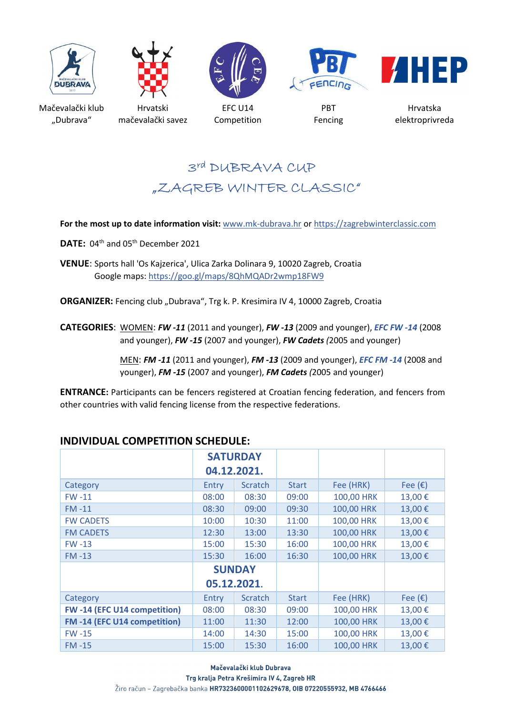









Mačevalački klub "Dubrava"

Hrvatski mačevalački savez

EFC U14 Competition

PBT Fencing

Hrvatska elektroprivreda

# 3rd DUBRAVA CUP "ZAGREB WINTER CLASSIC"

#### **For the most up to date information visit:** www.mk-dubrava.hr or https://zagrebwinterclassic.com

DATE: 04<sup>th</sup> and 05<sup>th</sup> December 2021

**VENUE**: Sports hall 'Os Kajzerica', Ulica Zarka Dolinara 9, 10020 Zagreb, Croatia Google maps: https://goo.gl/maps/8QhMQADr2wmp18FW9

**ORGANIZER:** Fencing club "Dubrava", Trg k. P. Kresimira IV 4, 10000 Zagreb, Croatia

**CATEGORIES**: WOMEN: *FW -11* (2011 and younger), *FW -13* (2009 and younger), *EFC FW -14* (2008 and younger), *FW -15* (2007 and younger), *FW Cadets (*2005 and younger)

> MEN: *FM -11* (2011 and younger), *FM -13* (2009 and younger), *EFC FM -14* (2008 and younger), *FM -15* (2007 and younger), *FM Cadets (*2005 and younger)

**ENTRANCE:** Participants can be fencers registered at Croatian fencing federation, and fencers from other countries with valid fencing license from the respective federations.

|                             | <b>SATURDAY</b><br>04.12.2021. |         |              |            |                  |
|-----------------------------|--------------------------------|---------|--------------|------------|------------------|
| Category                    | Entry                          | Scratch | <b>Start</b> | Fee (HRK)  | Fee $(\epsilon)$ |
| $FW - 11$                   | 08:00                          | 08:30   | 09:00        | 100,00 HRK | 13,00€           |
| $FM -11$                    | 08:30                          | 09:00   | 09:30        | 100,00 HRK | 13,00€           |
| <b>FW CADETS</b>            | 10:00                          | 10:30   | 11:00        | 100,00 HRK | 13,00€           |
| <b>FM CADETS</b>            | 12:30                          | 13:00   | 13:30        | 100,00 HRK | 13,00€           |
| $FW-13$                     | 15:00                          | 15:30   | 16:00        | 100,00 HRK | 13,00€           |
| $FM - 13$                   | 15:30                          | 16:00   | 16:30        | 100,00 HRK | 13,00€           |
|                             | <b>SUNDAY</b>                  |         |              |            |                  |
|                             | 05.12.2021.                    |         |              |            |                  |
| Category                    | Entry                          | Scratch | <b>Start</b> | Fee (HRK)  | Fee $(\epsilon)$ |
| FW-14 (EFC U14 competition) | 08:00                          | 08:30   | 09:00        | 100,00 HRK | 13,00€           |
| FM-14 (EFC U14 competition) | 11:00                          | 11:30   | 12:00        | 100,00 HRK | 13,00€           |
| $FW - 15$                   | 14:00                          | 14:30   | 15:00        | 100,00 HRK | 13,00€           |
| $FM -15$                    | 15:00                          | 15:30   | 16:00        | 100,00 HRK | 13,00€           |

### **INDIVIDUAL COMPETITION SCHEDULE:**

Mačevalački klub Dubrava Trg kralja Petra Krešimira IV 4, Zagreb HR Žiro račun - Zagrebačka banka HR7323600001102629678, OIB 07220555932, MB 4766466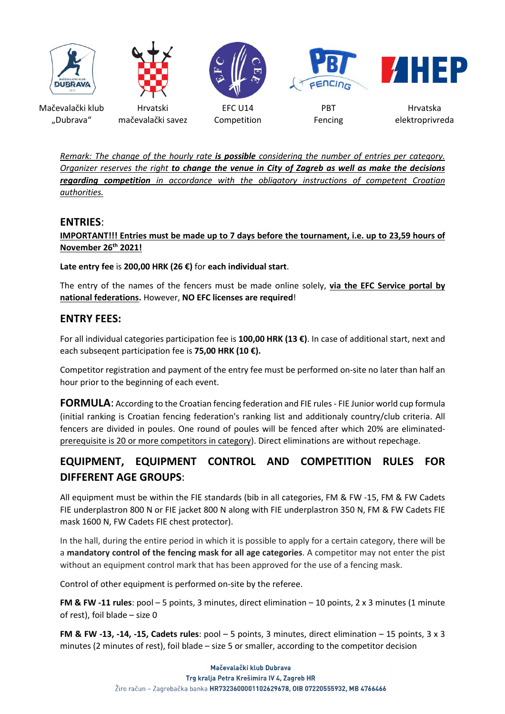

*Remark: The change of the hourly rate is possible considering the number of entries per category. Organizer reserves the right to change the venue in City of Zagreb as well as make the decisions regarding competition in accordance with the obligatory instructions of competent Croatian authorities.* 

#### **ENTRIES**:

**IMPORTANT!!! Entries must be made up to 7 days before the tournament, i.e. up to 23,59 hours of November 26th 2021!**

#### **Late entry fee** is **200,00 HRK (26 €)** for **each individual start**.

The entry of the names of the fencers must be made online solely, **via the EFC Service portal by national federations.** However, **NO EFC licenses are required**!

#### **ENTRY FEES:**

For all individual categories participation fee is **100,00 HRK (13 €)**. In case of additional start, next and each subseqent participation fee is **75,00 HRK (10 €).** 

Competitor registration and payment of the entry fee must be performed on-site no later than half an hour prior to the beginning of each event.

**FORMULA:** According to the Croatian fencing federation and FIE rules - FIE Junior world cup formula (initial ranking is Croatian fencing federation's ranking list and additionaly country/club criteria. All fencers are divided in poules. One round of poules will be fenced after which 20% are eliminatedprerequisite is 20 or more competitors in category). Direct eliminations are without repechage.

## **EQUIPMENT, EQUIPMENT CONTROL AND COMPETITION RULES FOR DIFFERENT AGE GROUPS**:

All equipment must be within the FIE standards (bib in all categories, FM & FW -15, FM & FW Cadets FIE underplastron 800 N or FIE jacket 800 N along with FIE underplastron 350 N, FM & FW Cadets FIE mask 1600 N, FW Cadets FIE chest protector).

In the hall, during the entire period in which it is possible to apply for a certain category, there will be a **mandatory control of the fencing mask for all age categories**. A competitor may not enter the pist without an equipment control mark that has been approved for the use of a fencing mask.

Control of other equipment is performed on-site by the referee.

**FM & FW -11 rules**: pool – 5 points, 3 minutes, direct elimination – 10 points, 2 x 3 minutes (1 minute of rest), foil blade – size 0

**FM & FW -13, -14, -15, Cadets rules**: pool – 5 points, 3 minutes, direct elimination – 15 points, 3 x 3 minutes (2 minutes of rest), foil blade – size 5 or smaller, according to the competitor decision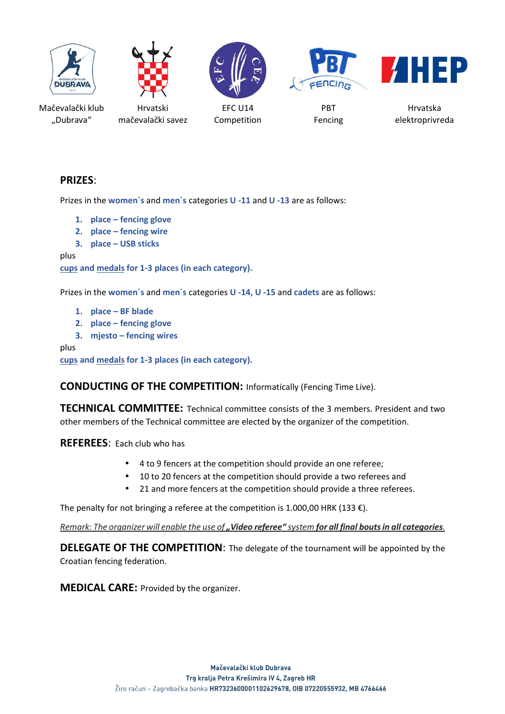







Mačevalački klub "Dubrava"

Hrvatski mačevalački savez

EFC U14 Competition

PBT Fencing

Hrvatska elektroprivreda

### **PRIZES**:

Prizes in the **women´s** and **men´s** categories **U -11** and **U -13** are as follows:

- **1. place fencing glove**
- **2. place fencing wire**
- **3. place USB sticks**

plus

**cups and medals for 1-3 places (in each category).** 

Prizes in the **women´s** and **men´s** categories **U -14, U -15** and **cadets** are as follows:

- **1. place BF blade**
- **2. place fencing glove**
- **3. mjesto fencing wires**

plus

**cups and medals for 1-3 places (in each category).** 

**CONDUCTING OF THE COMPETITION:** Informatically (Fencing Time Live).

**TECHNICAL COMMITTEE:** Technical committee consists of the 3 members. President and two other members of the Technical committee are elected by the organizer of the competition.

**REFEREES**: Each club who has

- 4 to 9 fencers at the competition should provide an one referee;
- 10 to 20 fencers at the competition should provide a two referees and
- 21 and more fencers at the competition should provide a three referees.

The penalty for not bringing a referee at the competition is 1.000,00 HRK (133  $\epsilon$ ).

*Remark: The organizer will enable the use of " Video referee" system for all final bouts in all categories.* 

**DELEGATE OF THE COMPETITION:** The delegate of the tournament will be appointed by the Croatian fencing federation.

**MEDICAL CARE:** Provided by the organizer.